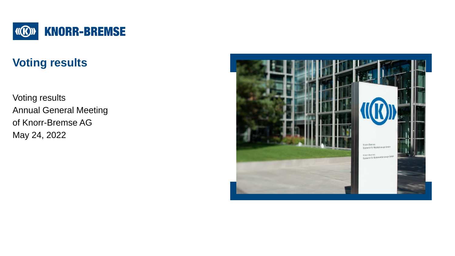

# **Voting results**

Voting results Annual General Meeting of Knorr-Bremse AG May 24, 2022

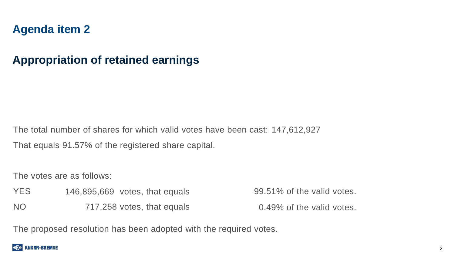### **Appropriation of retained earnings**

The total number of shares for which valid votes have been cast: 147,612,927 That equals 91.57% of the registered share capital.

The votes are as follows:

YES NO 146,895,669 votes, that equals 717,258 votes, that equals 99.51% of the valid votes. 0.49% of the valid votes.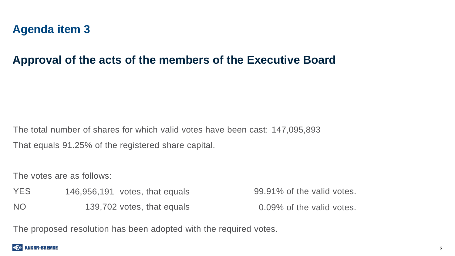#### **Approval of the acts of the members of the Executive Board**

The total number of shares for which valid votes have been cast: 147,095,893 That equals 91.25% of the registered share capital.

The votes are as follows:

YES NO 146,956,191 votes, that equals 139,702 votes, that equals 99.91% of the valid votes. 0.09% of the valid votes.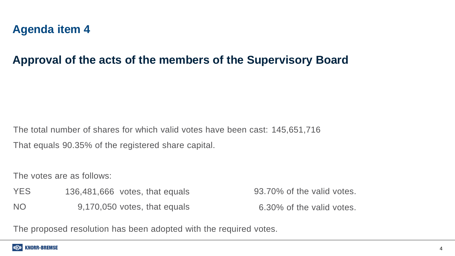### **Approval of the acts of the members of the Supervisory Board**

The total number of shares for which valid votes have been cast: 145,651,716 That equals 90.35% of the registered share capital.

The votes are as follows:

YES NO 136,481,666 votes, that equals 9,170,050 votes, that equals 93.70% of the valid votes. 6.30% of the valid votes.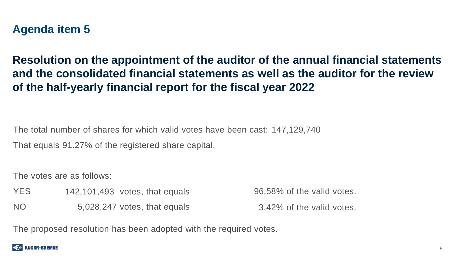**Resolution on the appointment of the auditor of the annual financial statements and the consolidated financial statements as well as the auditor for the review of the half-yearly financial report for the fiscal year 2022**

The total number of shares for which valid votes have been cast: 147,129,740

That equals 91.27% of the registered share capital.

The votes are as follows:

YES NO 142,101,493 votes, that equals 5,028,247 votes, that equals 96.58% of the valid votes. 3.42% of the valid votes.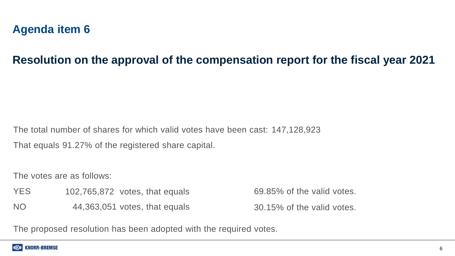#### **Resolution on the approval of the compensation report for the fiscal year 2021**

The total number of shares for which valid votes have been cast: 147,128,923 That equals 91.27% of the registered share capital.

The votes are as follows:

- YES 102,765,872 votes, that equals
- NO 44,363,051 votes, that equals

69.85% of the valid votes. 30.15% of the valid votes.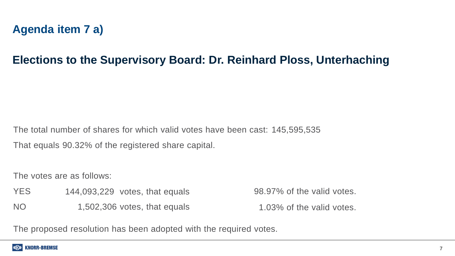# **Agenda item 7 a)**

# **Elections to the Supervisory Board: Dr. Reinhard Ploss, Unterhaching**

The total number of shares for which valid votes have been cast: 145,595,535 That equals 90.32% of the registered share capital.

The votes are as follows:

- YES 144,093,229 votes, that equals
- NO 1,502,306 votes, that equals

98.97% of the valid votes.

1.03% of the valid votes.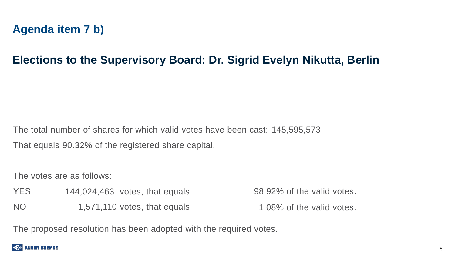# **Agenda item 7 b)**

# **Elections to the Supervisory Board: Dr. Sigrid Evelyn Nikutta, Berlin**

The total number of shares for which valid votes have been cast: 145,595,573 That equals 90.32% of the registered share capital.

The votes are as follows:

YES NO 144,024,463 votes, that equals 1,571,110 votes, that equals 98.92% of the valid votes. 1.08% of the valid votes.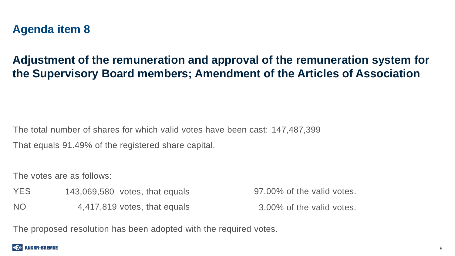# **Adjustment of the remuneration and approval of the remuneration system for the Supervisory Board members; Amendment of the Articles of Association**

The total number of shares for which valid votes have been cast: 147,487,399 That equals 91.49% of the registered share capital.

The votes are as follows:

YES NO 143,069,580 votes, that equals 4,417,819 votes, that equals 97.00% of the valid votes.

3.00% of the valid votes.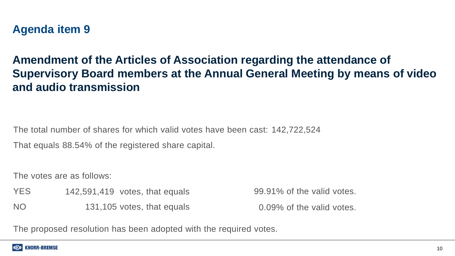# **Amendment of the Articles of Association regarding the attendance of Supervisory Board members at the Annual General Meeting by means of video and audio transmission**

The total number of shares for which valid votes have been cast: 142,722,524

That equals 88.54% of the registered share capital.

The votes are as follows:

YES NO 142,591,419 votes, that equals 131,105 votes, that equals

99.91% of the valid votes.

0.09% of the valid votes.